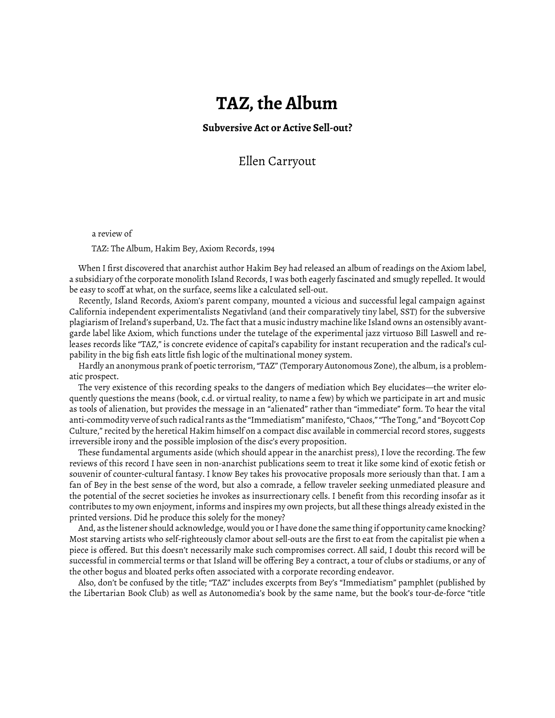## **TAZ, the Album**

**Subversive Act or Active Sell-out?**

Ellen Carryout

a review of

TAZ: The Album, Hakim Bey, Axiom Records, 1994

When I first discovered that anarchist author Hakim Bey had released an album of readings on the Axiom label, a subsidiary of the corporate monolith Island Records, I was both eagerly fascinated and smugly repelled. It would be easy to scoff at what, on the surface, seems like a calculated sell-out.

Recently, Island Records, Axiom's parent company, mounted a vicious and successful legal campaign against California independent experimentalists Negativland (and their comparatively tiny label, SST) for the subversive plagiarism of Ireland's superband, U2. The fact that a music industry machine like Island owns an ostensibly avantgarde label like Axiom, which functions under the tutelage of the experimental jazz virtuoso Bill Laswell and releases records like "TAZ," is concrete evidence of capital's capability for instant recuperation and the radical's culpability in the big fish eats little fish logic of the multinational money system.

Hardly an anonymous prank of poetic terrorism, "TAZ" (Temporary Autonomous Zone), the album, is a problematic prospect.

The very existence of this recording speaks to the dangers of mediation which Bey elucidates—the writer eloquently questions the means (book, c.d. or virtual reality, to name a few) by which we participate in art and music as tools of alienation, but provides the message in an "alienated" rather than "immediate" form. To hear the vital anti-commodity verve of such radical rants as the "Immediatism" manifesto, "Chaos," "The Tong," and "Boycott Cop Culture," recited by the heretical Hakim himself on a compact disc available in commercial record stores, suggests irreversible irony and the possible implosion of the disc's every proposition.

These fundamental arguments aside (which should appear in the anarchist press), I love the recording. The few reviews of this record I have seen in non-anarchist publications seem to treat it like some kind of exotic fetish or souvenir of counter-cultural fantasy. I know Bey takes his provocative proposals more seriously than that. I am a fan of Bey in the best sense of the word, but also a comrade, a fellow traveler seeking unmediated pleasure and the potential of the secret societies he invokes as insurrectionary cells. I benefit from this recording insofar as it contributes to my own enjoyment, informs and inspires my own projects, but all these things already existed in the printed versions. Did he produce this solely for the money?

And, as the listener should acknowledge, would you or I have done the same thing if opportunity came knocking? Most starving artists who self-righteously clamor about sell-outs are the first to eat from the capitalist pie when a piece is offered. But this doesn't necessarily make such compromises correct. All said, I doubt this record will be successful in commercial terms or that Island will be offering Bey a contract, a tour of clubs or stadiums, or any of the other bogus and bloated perks often associated with a corporate recording endeavor.

Also, don't be confused by the title; "TAZ" includes excerpts from Bey's "Immediatism" pamphlet (published by the Libertarian Book Club) as well as Autonomedia's book by the same name, but the book's tour-de-force "title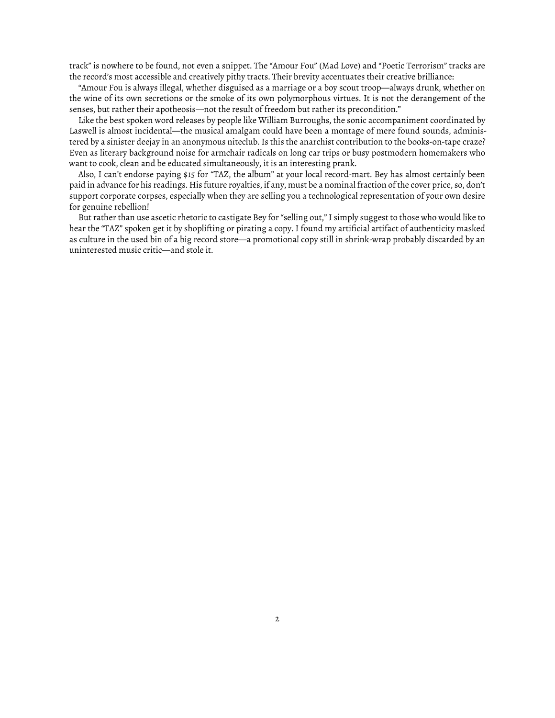track" is nowhere to be found, not even a snippet. The "Amour Fou" (Mad Love) and "Poetic Terrorism" tracks are the record's most accessible and creatively pithy tracts. Their brevity accentuates their creative brilliance:

"Amour Fou is always illegal, whether disguised as a marriage or a boy scout troop—always drunk, whether on the wine of its own secretions or the smoke of its own polymorphous virtues. It is not the derangement of the senses, but rather their apotheosis—not the result of freedom but rather its precondition."

Like the best spoken word releases by people like William Burroughs, the sonic accompaniment coordinated by Laswell is almost incidental—the musical amalgam could have been a montage of mere found sounds, administered by a sinister deejay in an anonymous niteclub. Is this the anarchist contribution to the books-on-tape craze? Even as literary background noise for armchair radicals on long car trips or busy postmodern homemakers who want to cook, clean and be educated simultaneously, it is an interesting prank.

Also, I can't endorse paying \$15 for "TAZ, the album" at your local record-mart. Bey has almost certainly been paid in advance for his readings. His future royalties, if any, must be a nominal fraction of the cover price, so, don't support corporate corpses, especially when they are selling you a technological representation of your own desire for genuine rebellion!

But rather than use ascetic rhetoric to castigate Bey for "selling out," I simply suggest to those who would like to hear the "TAZ" spoken get it by shoplifting or pirating a copy. I found my artificial artifact of authenticity masked as culture in the used bin of a big record store—a promotional copy still in shrink-wrap probably discarded by an uninterested music critic—and stole it.